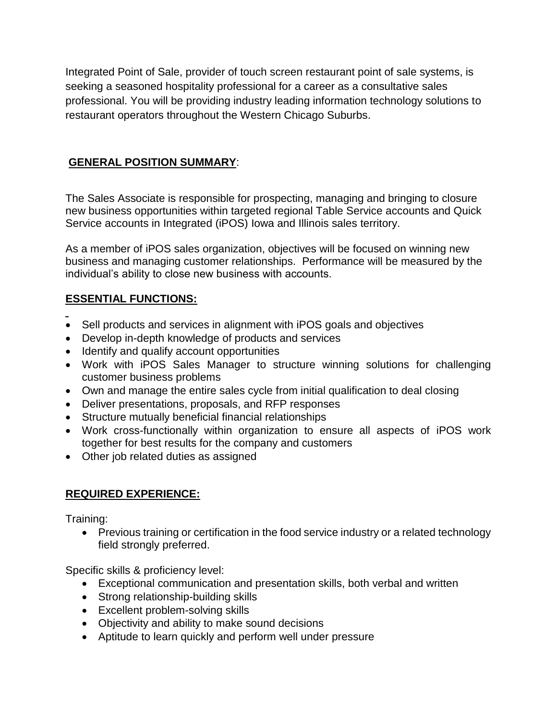Integrated Point of Sale, provider of touch screen restaurant point of sale systems, is seeking a seasoned hospitality professional for a career as a consultative sales professional. You will be providing industry leading information technology solutions to restaurant operators throughout the Western Chicago Suburbs.

## **GENERAL POSITION SUMMARY**:

The Sales Associate is responsible for prospecting, managing and bringing to closure new business opportunities within targeted regional Table Service accounts and Quick Service accounts in Integrated (iPOS) Iowa and Illinois sales territory.

As a member of iPOS sales organization, objectives will be focused on winning new business and managing customer relationships. Performance will be measured by the individual's ability to close new business with accounts.

## **ESSENTIAL FUNCTIONS:**

- Sell products and services in alignment with iPOS goals and objectives
- Develop in-depth knowledge of products and services
- Identify and qualify account opportunities
- Work with iPOS Sales Manager to structure winning solutions for challenging customer business problems
- Own and manage the entire sales cycle from initial qualification to deal closing
- Deliver presentations, proposals, and RFP responses
- Structure mutually beneficial financial relationships
- Work cross-functionally within organization to ensure all aspects of iPOS work together for best results for the company and customers
- Other job related duties as assigned

## **REQUIRED EXPERIENCE:**

Training:

• Previous training or certification in the food service industry or a related technology field strongly preferred.

Specific skills & proficiency level:

- Exceptional communication and presentation skills, both verbal and written
- Strong relationship-building skills
- Excellent problem-solving skills
- Objectivity and ability to make sound decisions
- Aptitude to learn quickly and perform well under pressure